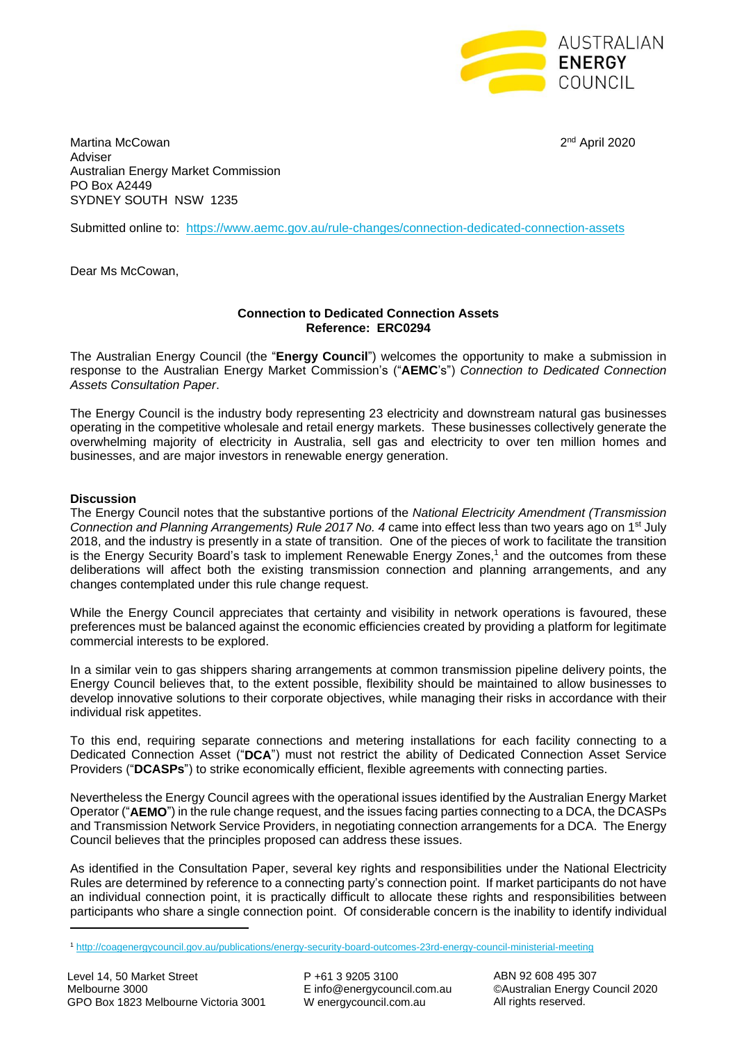

2<sup>nd</sup> April 2020

Martina McCowan Adviser Australian Energy Market Commission PO Box A2449 SYDNEY SOUTH NSW 1235

Submitted online to: <https://www.aemc.gov.au/rule-changes/connection-dedicated-connection-assets>

Dear Ms McCowan,

## **Connection to Dedicated Connection Assets Reference: ERC0294**

The Australian Energy Council (the "**Energy Council**") welcomes the opportunity to make a submission in response to the Australian Energy Market Commission's ("**AEMC**'s") *Connection to Dedicated Connection Assets Consultation Paper*.

The Energy Council is the industry body representing 23 electricity and downstream natural gas businesses operating in the competitive wholesale and retail energy markets. These businesses collectively generate the overwhelming majority of electricity in Australia, sell gas and electricity to over ten million homes and businesses, and are major investors in renewable energy generation.

## **Discussion**

The Energy Council notes that the substantive portions of the *National Electricity Amendment (Transmission Connection and Planning Arrangements) Rule 2017 No. 4* came into effect less than two years ago on 1st July 2018, and the industry is presently in a state of transition. One of the pieces of work to facilitate the transition is the Energy Security Board's task to implement Renewable Energy Zones,<sup>1</sup> and the outcomes from these deliberations will affect both the existing transmission connection and planning arrangements, and any changes contemplated under this rule change request.

While the Energy Council appreciates that certainty and visibility in network operations is favoured, these preferences must be balanced against the economic efficiencies created by providing a platform for legitimate commercial interests to be explored.

In a similar vein to gas shippers sharing arrangements at common transmission pipeline delivery points, the Energy Council believes that, to the extent possible, flexibility should be maintained to allow businesses to develop innovative solutions to their corporate objectives, while managing their risks in accordance with their individual risk appetites.

To this end, requiring separate connections and metering installations for each facility connecting to a Dedicated Connection Asset ("**DCA**") must not restrict the ability of Dedicated Connection Asset Service Providers ("**DCASPs**") to strike economically efficient, flexible agreements with connecting parties.

Nevertheless the Energy Council agrees with the operational issues identified by the Australian Energy Market Operator ("**AEMO**") in the rule change request, and the issues facing parties connecting to a DCA, the DCASPs and Transmission Network Service Providers, in negotiating connection arrangements for a DCA. The Energy Council believes that the principles proposed can address these issues.

As identified in the Consultation Paper, several key rights and responsibilities under the National Electricity Rules are determined by reference to a connecting party's connection point. If market participants do not have an individual connection point, it is practically difficult to allocate these rights and responsibilities between participants who share a single connection point. Of considerable concern is the inability to identify individual

 $\overline{a}$ 

P +61 3 9205 3100 E info@energycouncil.com.au W energycouncil.com.au

ABN 92 608 495 307 ©Australian Energy Council 2020 All rights reserved.

<sup>1</sup> <http://coagenergycouncil.gov.au/publications/energy-security-board-outcomes-23rd-energy-council-ministerial-meeting>